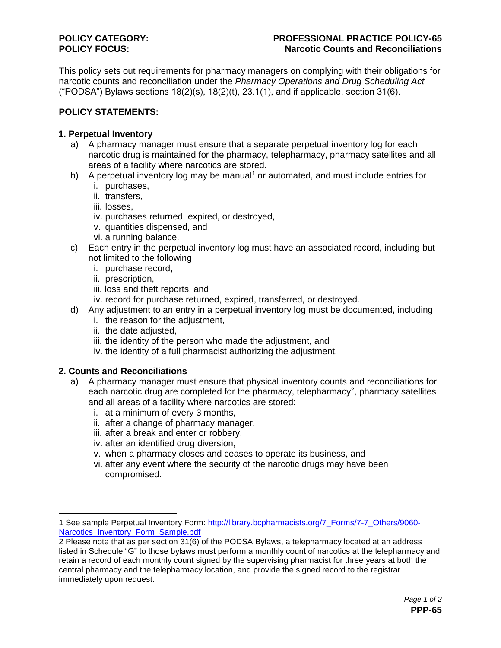This policy sets out requirements for pharmacy managers on complying with their obligations for narcotic counts and reconciliation under the *Pharmacy Operations and Drug Scheduling Act*  ("PODSA") Bylaws sections  $18(2)(s)$ ,  $18(2)(t)$ ,  $23.1(1)$ , and if applicable, section  $31(6)$ .

# **POLICY STATEMENTS:**

## **1. Perpetual Inventory**

- a) A pharmacy manager must ensure that a separate perpetual inventory log for each narcotic drug is maintained for the pharmacy, telepharmacy, pharmacy satellites and all areas of a facility where narcotics are stored.
- b) A perpetual inventory log may be manual<sup>1</sup> or automated, and must include entries for
	- i. purchases,
	- ii. transfers,
	- iii. losses,
	- iv. purchases returned, expired, or destroyed,
	- v. quantities dispensed, and
	- vi. a running balance.
- c) Each entry in the perpetual inventory log must have an associated record, including but not limited to the following
	- i. purchase record,
	- ii. prescription,
	- iii. loss and theft reports, and
	- iv. record for purchase returned, expired, transferred, or destroyed.
- d) Any adjustment to an entry in a perpetual inventory log must be documented, including
	- i. the reason for the adjustment,
	- ii. the date adjusted,
	- iii. the identity of the person who made the adjustment, and
	- iv. the identity of a full pharmacist authorizing the adjustment.

## **2. Counts and Reconciliations**

 $\overline{a}$ 

- a) A pharmacy manager must ensure that physical inventory counts and reconciliations for each narcotic drug are completed for the pharmacy, telepharmacy<sup>2</sup>, pharmacy satellites and all areas of a facility where narcotics are stored:
	- i. at a minimum of every 3 months,
	- ii. after a change of pharmacy manager,
	- iii. after a break and enter or robbery,
	- iv. after an identified drug diversion,
	- v. when a pharmacy closes and ceases to operate its business, and
	- vi. after any event where the security of the narcotic drugs may have been compromised.

<sup>1</sup> See sample Perpetual Inventory Form: [http://library.bcpharmacists.org/7\\_Forms/7-7\\_Others/9060-](http://library.bcpharmacists.org/7_Forms/7-7_Others/9060-Narcotics_Inventory_Form_Sample.pdf) [Narcotics\\_Inventory\\_Form\\_Sample.pdf](http://library.bcpharmacists.org/7_Forms/7-7_Others/9060-Narcotics_Inventory_Form_Sample.pdf)

<sup>2</sup> Please note that as per section 31(6) of the PODSA Bylaws, a telepharmacy located at an address listed in Schedule "G" to those bylaws must perform a monthly count of narcotics at the telepharmacy and retain a record of each monthly count signed by the supervising pharmacist for three years at both the central pharmacy and the telepharmacy location, and provide the signed record to the registrar immediately upon request.